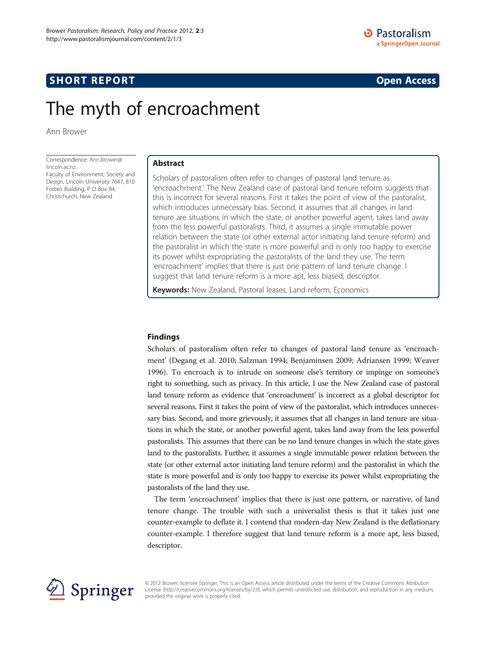# **SHORT REPORT SHORT CONSUMING THE SHORT CONSUMING THE SHORT CONSUMING THE SHORT CONSUMING THE SHORT CONSUMING THE SHORT CONSUMING THE SHORT CONSUMING THE SHORT CONSUMING THE SHORT CONSUMING THE SHORT CONSUMING THE SHORT**

# **D** Pastoralism a SpringerOpen Journal

# The myth of encroachment

Ann Brower

Correspondence: [Ann.Brower@](mailto:Ann.Brower@lincoln.ac.nz) [lincoln.ac.nz](mailto:Ann.Brower@lincoln.ac.nz) Faculty of Environment, Society and

Design, Lincoln University 7647, 810 Forbes Building, P O Box 84, Christchurch, New Zealand

# Abstract

Scholars of pastoralism often refer to changes of pastoral land tenure as 'encroachment.' The New Zealand case of pastoral land tenure reform suggests that this is incorrect for several reasons. First it takes the point of view of the pastoralist, which introduces unnecessary bias. Second, it assumes that all changes in land tenure are situations in which the state, or another powerful agent, takes land away from the less powerful pastoralists. Third, it assumes a single immutable power relation between the state (or other external actor initiating land tenure reform) and the pastoralist in which the state is more powerful and is only too happy to exercise its power whilst expropriating the pastoralists of the land they use. The term 'encroachment' implies that there is just one pattern of land tenure change. I suggest that land tenure reform is a more apt, less biased, descriptor.

Keywords: New Zealand, Pastoral leases, Land reform, Economics

# Findings

Scholars of pastoralism often refer to changes of pastoral land tenure as 'encroachment' (Degang et al. [2010;](#page-4-0) Salzman [1994;](#page-4-0) Benjaminsen [2009](#page-4-0); Adriansen [1999;](#page-4-0) Weaver [1996](#page-4-0)). To encroach is to intrude on someone else's territory or impinge on someone's right to something, such as privacy. In this article, I use the New Zealand case of pastoral land tenure reform as evidence that 'encroachment' is incorrect as a global descriptor for several reasons. First it takes the point of view of the pastoralist, which introduces unnecessary bias. Second, and more grievously, it assumes that all changes in land tenure are situations in which the state, or another powerful agent, takes land away from the less powerful pastoralists. This assumes that there can be no land tenure changes in which the state gives land to the pastoralists. Further, it assumes a single immutable power relation between the state (or other external actor initiating land tenure reform) and the pastoralist in which the state is more powerful and is only too happy to exercise its power whilst expropriating the pastoralists of the land they use.

The term 'encroachment' implies that there is just one pattern, or narrative, of land tenure change. The trouble with such a universalist thesis is that it takes just one counter-example to deflate it. I contend that modern-day New Zealand is the deflationary counter-example. I therefore suggest that land tenure reform is a more apt, less biased, descriptor.



© 2012 Brower; licensee Springer. This is an Open Access article distributed under the terms of the Creative Commons Attribution License [\(http://creativecommons.org/licenses/by/2.0\)](http://creativecommons.org/licenses/by/2.0), which permits unrestricted use, distribution, and reproduction in any medium, provided the original work is properly cited.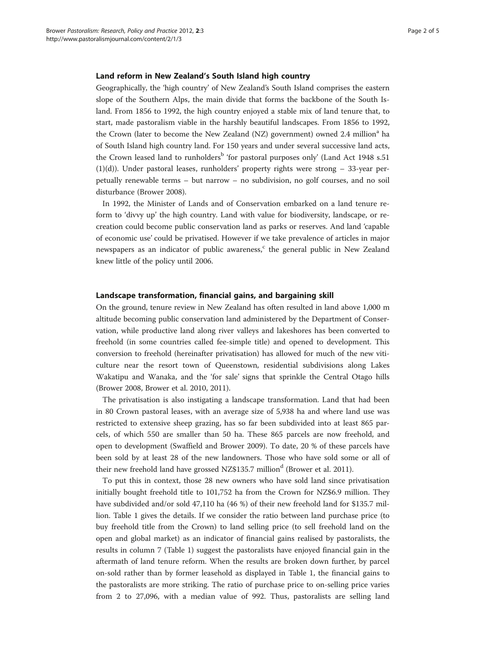### Land reform in New Zealand's South Island high country

Geographically, the 'high country' of New Zealand's South Island comprises the eastern slope of the Southern Alps, the main divide that forms the backbone of the South Island. From 1856 to 1992, the high country enjoyed a stable mix of land tenure that, to start, made pastoralism viable in the harshly beautiful landscapes. From 1856 to 1992, the Crown (later to become the New Zealand  $(NZ)$  government) owned 2.4 million<sup>a</sup> ha of South Island high country land. For 150 years and under several successive land acts, the Crown leased land to runholders<sup>b</sup> 'for pastoral purposes only' (Land Act 1948 s.51)  $(1)(d)$ ). Under pastoral leases, runholders' property rights were strong  $-33$ -year perpetually renewable terms – but narrow – no subdivision, no golf courses, and no soil disturbance (Brower [2008](#page-4-0)).

In 1992, the Minister of Lands and of Conservation embarked on a land tenure reform to 'divvy up' the high country. Land with value for biodiversity, landscape, or recreation could become public conservation land as parks or reserves. And land 'capable of economic use' could be privatised. However if we take prevalence of articles in major newspapers as an indicator of public awareness,<sup>c</sup> the general public in New Zealand knew little of the policy until 2006.

# Landscape transformation, financial gains, and bargaining skill

On the ground, tenure review in New Zealand has often resulted in land above 1,000 m altitude becoming public conservation land administered by the Department of Conservation, while productive land along river valleys and lakeshores has been converted to freehold (in some countries called fee-simple title) and opened to development. This conversion to freehold (hereinafter privatisation) has allowed for much of the new viticulture near the resort town of Queenstown, residential subdivisions along Lakes Wakatipu and Wanaka, and the 'for sale' signs that sprinkle the Central Otago hills (Brower [2008,](#page-4-0) Brower et al. [2010, 2011](#page-4-0)).

The privatisation is also instigating a landscape transformation. Land that had been in 80 Crown pastoral leases, with an average size of 5,938 ha and where land use was restricted to extensive sheep grazing, has so far been subdivided into at least 865 parcels, of which 550 are smaller than 50 ha. These 865 parcels are now freehold, and open to development (Swaffield and Brower [2009](#page-4-0)). To date, 20 % of these parcels have been sold by at least 28 of the new landowners. Those who have sold some or all of their new freehold land have grossed NZ\$135.7 million<sup>d</sup> (Brower et al. [2011](#page-4-0)).

To put this in context, those 28 new owners who have sold land since privatisation initially bought freehold title to 101,752 ha from the Crown for NZ\$6.9 million. They have subdivided and/or sold 47,110 ha (46 %) of their new freehold land for \$135.7 million. Table [1](#page-2-0) gives the details. If we consider the ratio between land purchase price (to buy freehold title from the Crown) to land selling price (to sell freehold land on the open and global market) as an indicator of financial gains realised by pastoralists, the results in column 7 (Table 1) suggest the pastoralists have enjoyed financial gain in the aftermath of land tenure reform. When the results are broken down further, by parcel on-sold rather than by former leasehold as displayed in Table [1](#page-2-0), the financial gains to the pastoralists are more striking. The ratio of purchase price to on-selling price varies from 2 to 27,096, with a median value of 992. Thus, pastoralists are selling land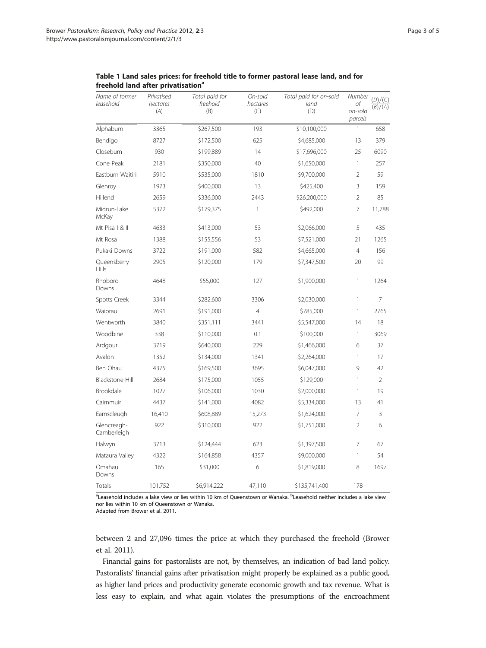| Name of former<br>leasehold | Privatised<br>hectares<br>(A) | Total paid for<br>freehold<br>(B) | On-sold<br>hectares<br>(C) | Total paid for on-sold<br>land<br>(D) | Number<br>of<br>on-sold<br>parcels | (D)/(C)<br>(B)/(A) |
|-----------------------------|-------------------------------|-----------------------------------|----------------------------|---------------------------------------|------------------------------------|--------------------|
| Alphaburn                   | 3365                          | \$267,500                         | 193                        | \$10,100,000                          | $\mathbf{1}$                       | 658                |
| Bendigo                     | 8727                          | \$172,500                         | 625                        | \$4,685,000                           | 13                                 | 379                |
| Closeburn                   | 930                           | \$199,889                         | 14                         | \$17,696,000                          | 25                                 | 6090               |
| Cone Peak                   | 2181                          | \$350,000                         | 40                         | \$1,650,000                           | 1                                  | 257                |
| Eastburn Waitiri            | 5910                          | \$535,000                         | 1810                       | \$9,700,000                           | 2                                  | 59                 |
| Glenroy                     | 1973                          | \$400,000                         | 13                         | \$425,400                             | 3                                  | 159                |
| Hillend                     | 2659                          | \$336,000                         | 2443                       | \$26,200,000                          | $\overline{2}$                     | 85                 |
| Midrun-Lake<br>McKay        | 5372                          | \$179,375                         | $\mathbf{1}$               | \$492,000                             | 7                                  | 11,788             |
| Mt Pisa I & II              | 4633                          | \$413,000                         | 53                         | \$2,066,000                           | 5                                  | 435                |
| Mt Rosa                     | 1388                          | \$155,556                         | 53                         | \$7,521,000                           | 21                                 | 1265               |
| Pukaki Downs                | 3722                          | \$191,000                         | 582                        | \$4,665,000                           | $\overline{4}$                     | 156                |
| Queensberry<br>Hills        | 2905                          | \$120,000                         | 179                        | \$7,347,500                           | 20                                 | 99                 |
| Rhoboro<br>Downs            | 4648                          | \$55,000                          | 127                        | \$1,900,000                           | 1                                  | 1264               |
| Spotts Creek                | 3344                          | \$282,600                         | 3306                       | \$2,030,000                           | 1                                  | 7                  |
| Waiorau                     | 2691                          | \$191,000                         | $\overline{4}$             | \$785,000                             | 1                                  | 2765               |
| Wentworth                   | 3840                          | \$351,111                         | 3441                       | \$5,547,000                           | 14                                 | 18                 |
| Woodbine                    | 338                           | \$110,000                         | 0.1                        | \$100,000                             | 1                                  | 3069               |
| Ardgour                     | 3719                          | \$640,000                         | 229                        | \$1,466,000                           | 6                                  | 37                 |
| Avalon                      | 1352                          | \$134,000                         | 1341                       | \$2,264,000                           | 1                                  | 17                 |
| Ben Ohau                    | 4375                          | \$169,500                         | 3695                       | \$6,047,000                           | 9                                  | 42                 |
| <b>Blackstone Hill</b>      | 2684                          | \$175,000                         | 1055                       | \$129,000                             | 1                                  | $\overline{2}$     |
| Brookdale                   | 1027                          | \$106,000                         | 1030                       | \$2,000,000                           | 1                                  | 19                 |
| Cairnmuir                   | 4437                          | \$141,000                         | 4082                       | \$5,334,000                           | 13                                 | 41                 |
| Earnscleugh                 | 16,410                        | \$608,889                         | 15,273                     | \$1,624,000                           | $\overline{7}$                     | 3                  |
| Glencreagh-<br>Camberleigh  | 922                           | \$310,000                         | 922                        | \$1,751,000                           | 2                                  | 6                  |
| Halwyn                      | 3713                          | \$124,444                         | 623                        | \$1,397,500                           | 7                                  | 67                 |
| Mataura Valley              | 4322                          | \$164,858                         | 4357                       | \$9,000,000                           | $\mathbf{1}$                       | 54                 |
| Omahau<br>Downs             | 165                           | \$31,000                          | 6                          | \$1,819,000                           | 8                                  | 1697               |
| Totals                      | 101,752                       | \$6,914,222                       | 47,110                     | \$135,741,400                         | 178                                |                    |

<span id="page-2-0"></span>Table 1 Land sales prices: for freehold title to former pastoral lease land, and for freehold land after privatisation<sup>a</sup>

<sup>a</sup>Leasehold includes a lake view or lies within 10 km of Queenstown or Wanaka. <sup>b</sup>Leasehold neither includes a lake view nor lies within 10 km of Queenstown or Wanaka.

Adapted from Brower et al. [2011](#page-4-0).

between 2 and 27,096 times the price at which they purchased the freehold (Brower et al. [2011\)](#page-4-0).

Financial gains for pastoralists are not, by themselves, an indication of bad land policy. Pastoralists' financial gains after privatisation might properly be explained as a public good, as higher land prices and productivity generate economic growth and tax revenue. What is less easy to explain, and what again violates the presumptions of the encroachment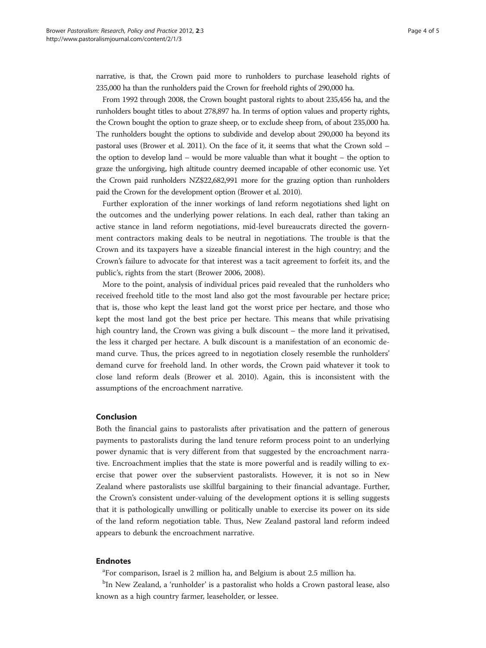narrative, is that, the Crown paid more to runholders to purchase leasehold rights of 235,000 ha than the runholders paid the Crown for freehold rights of 290,000 ha.

From 1992 through 2008, the Crown bought pastoral rights to about 235,456 ha, and the runholders bought titles to about 278,897 ha. In terms of option values and property rights, the Crown bought the option to graze sheep, or to exclude sheep from, of about 235,000 ha. The runholders bought the options to subdivide and develop about 290,000 ha beyond its pastoral uses (Brower et al. [2011](#page-4-0)). On the face of it, it seems that what the Crown sold – the option to develop land – would be more valuable than what it bought – the option to graze the unforgiving, high altitude country deemed incapable of other economic use. Yet the Crown paid runholders NZ\$22,682,991 more for the grazing option than runholders paid the Crown for the development option (Brower et al. [2010](#page-4-0)).

Further exploration of the inner workings of land reform negotiations shed light on the outcomes and the underlying power relations. In each deal, rather than taking an active stance in land reform negotiations, mid-level bureaucrats directed the government contractors making deals to be neutral in negotiations. The trouble is that the Crown and its taxpayers have a sizeable financial interest in the high country; and the Crown's failure to advocate for that interest was a tacit agreement to forfeit its, and the public's, rights from the start (Brower [2006, 2008](#page-4-0)).

More to the point, analysis of individual prices paid revealed that the runholders who received freehold title to the most land also got the most favourable per hectare price; that is, those who kept the least land got the worst price per hectare, and those who kept the most land got the best price per hectare. This means that while privatising high country land, the Crown was giving a bulk discount – the more land it privatised, the less it charged per hectare. A bulk discount is a manifestation of an economic demand curve. Thus, the prices agreed to in negotiation closely resemble the runholders' demand curve for freehold land. In other words, the Crown paid whatever it took to close land reform deals (Brower et al. [2010\)](#page-4-0). Again, this is inconsistent with the assumptions of the encroachment narrative.

# Conclusion

Both the financial gains to pastoralists after privatisation and the pattern of generous payments to pastoralists during the land tenure reform process point to an underlying power dynamic that is very different from that suggested by the encroachment narrative. Encroachment implies that the state is more powerful and is readily willing to exercise that power over the subservient pastoralists. However, it is not so in New Zealand where pastoralists use skillful bargaining to their financial advantage. Further, the Crown's consistent under-valuing of the development options it is selling suggests that it is pathologically unwilling or politically unable to exercise its power on its side of the land reform negotiation table. Thus, New Zealand pastoral land reform indeed appears to debunk the encroachment narrative.

# Endnotes

<sup>a</sup>For comparison, Israel is 2 million ha, and Belgium is about 2.5 million ha.

<sup>b</sup>In New Zealand, a 'runholder' is a pastoralist who holds a Crown pastoral lease, also known as a high country farmer, leaseholder, or lessee.